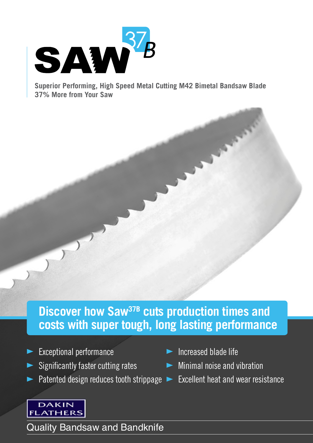

**Superior Performing, High Speed Metal Cutting M42 Bimetal Bandsaw Blade 37% More from Your Saw**

**Discover how Saw<sup>37B</sup> cuts production times and costs with super tough, long lasting performance**

- Exceptional performance ◀
- Significantly faster cutting rates
- Patented design reduces tooth strippage  $\blacktriangleright$  Excellent heat and wear resistance ◀
- ▶ Increased blade life
- Minimal noise and vibration ◀
	-



Quality Bandsaw and Bandknife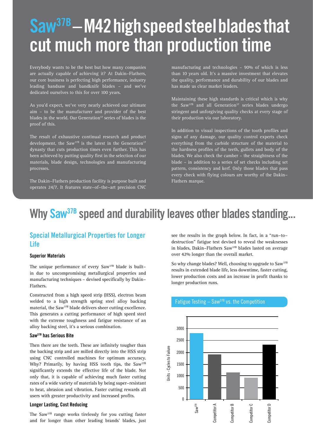# **Saw37B – M42 high speed steel blades that cut much more than production time**

Everybody wants to be the best but how many companies are actually capable of achieving it? At Dakin-Flathers, our core business is perfecting high performance, industry leading bandsaw and bandknife blades – and we've dedicated ourselves to this for over 100 years.

As you'd expect, we've very nearly achieved our ultimate aim – to be the manufacturer and provider of the best blades in the world. Our Generation<sup>37</sup> series of blades is the proof of this.

The result of exhaustive continual research and product development, the Saw<sup>37B</sup> is the latest in the Generation<sup>37</sup> dynasty that cuts production times even further. This has been achieved by putting quality first in the selection of our materials, blade design, technologies and manufacturing processes.

The Dakin-Flathers production facility is purpose built and operates 24/7. It features state-of-the-art precision CNC

manufacturing and technologies – 90% of which is less than 10 years old. It's a massive investment that elevates the quality, performance and durability of our blades and has made us clear market leaders.

Maintaining these high standards is critical which is why the Saw<sup>37B</sup> and all Generation<sup>37</sup> series blades undergo stringent and unforgiving quality checks at every stage of their production via our laboratory.

In addition to visual inspections of the tooth profiles and signs of any damage, our quality control experts check everything from the carbide structure of the material to the hardness profiles of the teeth, gullets and body of the blades. We also check the camber – the straightness of the blade – in addition to a series of set checks including set pattern, consistency and kerf. Only those blades that pass every check with flying colours are worthy of the Dakin-Flathers marque.

# **Why Saw37B speed and durability leaves other blades standing...**

## **Special Metallurgical Properties for Longer Life**

#### **Superior Materials**

The unique performance of every Saw<sup>37B</sup> blade is builtin due to uncompromising metallurgical properties and manufacturing techniques – devised specifically by Dakin-Flathers.

Constructed from a high speed strip (HSS), electron beam welded to a high strength spring steel alloy backing material, the Saw37B blade delivers sheer cutting excellence. This generates a cutting performance of high speed steel with the extreme toughness and fatigue resistance of an alloy backing steel, it's a serious combination.

#### **Saw37B has Serious Bite**

Then there are the teeth. These are infinitely tougher than the backing strip and are milled directly into the HSS strip using CNC controlled machines for optimum accuracy. Why? Primarily, by having HSS tooth tips, the Saw<sup>37B</sup> significantly extends the effective life of the blade. Not only that, it is capable of achieving much faster cutting rates of a wide variety of materials by being super-resistant to heat, abrasion and vibration. Faster cutting rewards all users with greater productivity and increased profits.

#### **Longer Lasting, Cost Reducing**

The Saw37B range works tirelessly for you cutting faster and for longer than other leading brands' blades, just

see the results in the graph below. In fact, in a "run-todestruction" fatigue test devised to reveal the weaknesses in blades, Dakin-Flathers Saw37B blades lasted on average over 42% longer than the overall market.

So why change blades? Well, choosing to upgrade to Saw<sup>37B</sup> results in extended blade life, less downtime, faster cutting, lower production costs and an increase in profit thanks to longer production runs.



#### Fatigue Testing  $-$  Saw<sup>37B</sup> vs. the Competition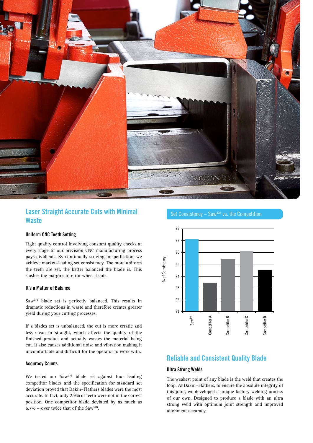

# **Laser Straight Accurate Cuts with Minimal Waste**

#### **Uniform CNC Teeth Setting**

Tight quality control involving constant quality checks at every stage of our precision CNC manufacturing process pays dividends. By continually striving for perfection, we achieve market-leading set consistency. The more uniform the teeth are set, the better balanced the blade is. This slashes the margins of error when it cuts.

#### **It's a Matter of Balance**

Saw37B blade set is perfectly balanced. This results in dramatic reductions in waste and therefore creates greater yield during your cutting processes.

If a blades set is unbalanced, the cut is more erratic and less clean or straight, which affects the quality of the finished product and actually wastes the material being cut. It also causes additional noise and vibration making it uncomfortable and difficult for the operator to work with.

#### **Accuracy Counts**

We tested our Saw<sup>37B</sup> blade set against four leading competitor blades and the specification for standard set deviation proved that Dakin-Flathers blades were the most accurate. In fact, only 2.9% of teeth were not in the correct position. One competitor blade deviated by as much as 6.7% - over twice that of the Saw<sup>37B</sup>.



# **Reliable and Consistent Quality Blade**

#### **Ultra Strong Welds**

The weakest point of any blade is the weld that creates the loop. At Dakin-Flathers, to ensure the absolute integrity of this joint, we developed a unique factory welding process of our own. Designed to produce a blade with an ultra strong weld with optimum joint strength and improved alignment accuracy.